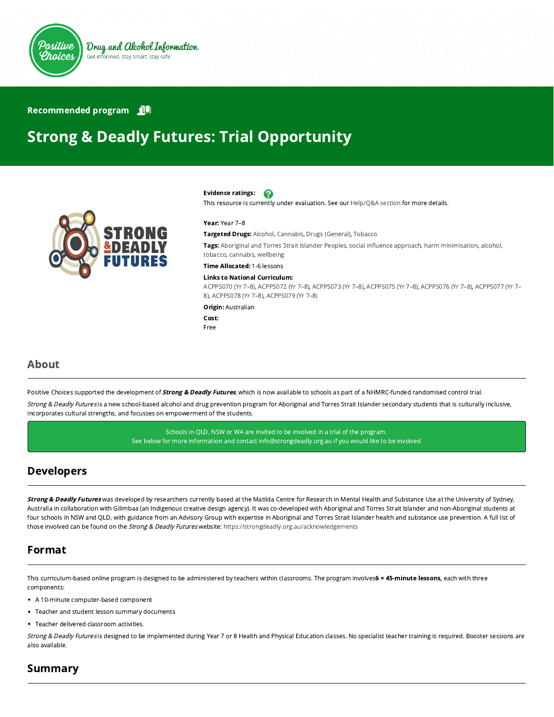

#### Recommended program

# Strong & Deadly Futures: Trial Opportunity



#### Evidence ratings: 2

This resource is currently under evaluation. See our [Help/Q&A section](https://positivechoices.org.au/help/questions-and-answers/) for more details.

#### Year: Year 7–8

Targeted Drugs: Alcohol, Cannabis, Drugs (General), Tobacco

Tags: Aboriginal and Torres Strait Islander Peoples, social influence approach, harm minimisation, alcohol, tobacco, cannabis, wellbeing

Time Allocated: 1-6 lessons

#### Links to National Curriculum:

[ACPPS070 \(Yr 7–8](http://www.australiancurriculum.edu.au/Curriculum/ContentDescription/ACPPS070)[\),](http://www.australiancurriculum.edu.au/Curriculum/ContentDescription/ACPPS077) [ACPPS072 \(Yr 7–8](http://www.australiancurriculum.edu.au/Curriculum/ContentDescription/ACPPS072)[\), A](http://www.australiancurriculum.edu.au/Curriculum/ContentDescription/ACPPS077)[CPPS073 \(Yr 7–8](http://www.australiancurriculum.edu.au/Curriculum/ContentDescription/ACPPS073)[\),](http://www.australiancurriculum.edu.au/Curriculum/ContentDescription/ACPPS077) [ACPPS075 \(Yr 7–8](http://www.australiancurriculum.edu.au/Curriculum/ContentDescription/ACPPS075)[\), A](http://www.australiancurriculum.edu.au/Curriculum/ContentDescription/ACPPS077)[CPPS076 \(Yr 7–8](http://www.australiancurriculum.edu.au/Curriculum/ContentDescription/ACPPS076)[\), ACPPS077 \(Yr 7–](http://www.australiancurriculum.edu.au/Curriculum/ContentDescription/ACPPS077) 8), [ACPPS078 \(Yr 7–8\)](http://www.australiancurriculum.edu.au/Curriculum/ContentDescription/ACPPS078), [ACPPS079 \(Yr 7–8\)](http://www.australiancurriculum.edu.au/Curriculum/ContentDescription/ACPPS079)

Origin: Australian

Cost: Free

#### About

Positive Choices supported the development of *Strong & Deadly Futures*, which is now available to schools as part of a NHMRC-funded randomised control trial.

Strong & Deadly Futures is a new school-based alcohol and drug prevention program for Aboriginal and Torres Strait Islander secondary students that is culturally inclusive, incorporates cultural strengths, and focusses on empowerment of the students.

> Schools in QLD, NSW or WA are invited to be involved in a trial of the program. See below for more information and contact info@strongdeadly.org.au if you would like to be involved.

### Developers

Strong & Deadly Futures was developed by researchers currently based at the Matilda Centre for Research in Mental Health and Substance Use at the University of Sydney, Australia in collaboration with Gilimbaa (an Indigenous creative design agency). It was co-developed with Aboriginal and Torres Strait Islander and non-Aboriginal students at four schools in NSW and QLD, with guidance from an Advisory Group with expertise in Aboriginal and Torres Strait Islander health and substance use prevention. A full list of those involved can be found on the Strong & Deadly Futures website:<https://strongdeadly.org.au/acknowledgements>

### Format

This curriculum-based online program is designed to be administered by teachers within classrooms. The program involves6 × 45-minute lessons, each with three components:

- A 10-minute computer-based component
- Teacher and student lesson summary documents
- Teacher delivered classroom activities.

Strong & Deadly Futures is designed to be implemented during Year 7 or 8 Health and Physical Education classes. No specialist teacher training is required. Booster sessions are also available.

### Summary